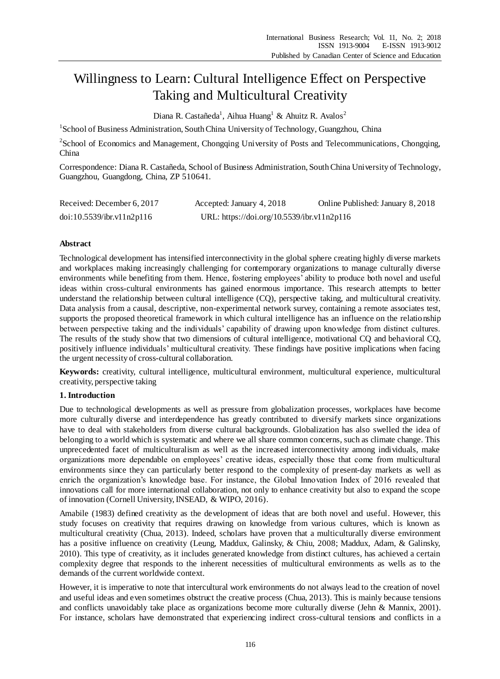# Willingness to Learn: Cultural Intelligence Effect on Perspective Taking and Multicultural Creativity

Diana R. Castañeda<sup>1</sup>, Aihua Huang<sup>1</sup> & Ahuitz R. Avalos<sup>2</sup>

<sup>1</sup> School of Business Administration, South China University of Technology, Guangzhou, China

<sup>2</sup>School of Economics and Management, Chongqing University of Posts and Telecommunications, Chongqing, China

Correspondence: Diana R. Castañeda, School of Business Administration, South China University of Technology, Guangzhou, Guangdong, China, ZP 510641.

| Received: December 6, 2017 | Accepted: January 4, 2018                  | Online Published: January 8, 2018 |
|----------------------------|--------------------------------------------|-----------------------------------|
| doi:10.5539/ibr.v11n2p116  | URL: https://doi.org/10.5539/ibr.v11n2p116 |                                   |

# **Abstract**

Technological development has intensified interconnectivity in the global sphere creating highly diverse markets and workplaces making increasingly challenging for contemporary organizations to manage culturally diverse environments while benefiting from them. Hence, fostering employees' ability to produce both novel and useful ideas within cross-cultural environments has gained enormous importance. This research attempts to better understand the relationship between cultural intelligence (CQ), perspective taking, and multicultural creativity. Data analysis from a causal, descriptive, non-experimental network survey, containing a remote associates test, supports the proposed theoretical framework in which cultural intelligence has an influence on the relationship between perspective taking and the individuals' capability of drawing upon knowledge from distinct cultures. The results of the study show that two dimensions of cultural intelligence, motivational CQ and behavioral CQ, positively influence individuals' multicultural creativity. These findings have positive implications when facing the urgent necessity of cross-cultural collaboration.

**Keywords:** creativity, cultural intelligence, multicultural environment, multicultural experience, multicultural creativity, perspective taking

### **1. Introduction**

Due to technological developments as well as pressure from globalization processes, workplaces have become more culturally diverse and interdependence has greatly contributed to diversify markets since organizations have to deal with stakeholders from diverse cultural backgrounds. Globalization has also swelled the idea of belonging to a world which is systematic and where we all share common concerns, such as climate change. This unprecedented facet of multiculturalism as well as the increased interconnectivity among individuals, make organizations more dependable on employees' creative ideas, especially those that come from multicultural environments since they can particularly better respond to the complexity of present-day markets as well as enrich the organization's knowledge base. For instance, the Global Innovation Index of 2016 revealed that innovations call for more international collaboration, not only to enhance creativity but also to expand the scope of innovation (Cornell University, INSEAD, & WIPO, 2016).

Amabile (1983) defined creativity as the development of ideas that are both novel and useful. However, this study focuses on creativity that requires drawing on knowledge from various cultures, which is known as multicultural creativity (Chua, 2013). Indeed, scholars have proven that a multiculturally diverse environment has a positive influence on creativity (Leung, Maddux, Galinsky, & Chiu, 2008; Maddux, Adam, & Galinsky, 2010). This type of creativity, as it includes generated knowledge from distinct cultures, has achieved a certain complexity degree that responds to the inherent necessities of multicultural environments as wells as to the demands of the current worldwide context.

However, it is imperative to note that intercultural work environments do not always lead to the creation of novel and useful ideas and even sometimes obstruct the creative process (Chua, 2013). This is mainly because tensions and conflicts unavoidably take place as organizations become more culturally diverse (Jehn & Mannix, 2001). For instance, scholars have demonstrated that experiencing indirect cross-cultural tensions and conflicts in a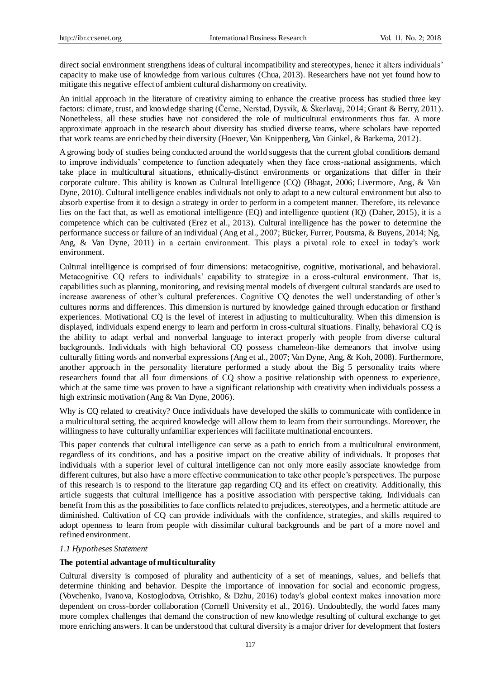direct social environment strengthens ideas of cultural incompatibility and stereotypes, hence it alters individuals' capacity to make use of knowledge from various cultures (Chua, 2013). Researchers have not yet found how to mitigate this negative effect of ambient cultural disharmony on creativity.

An initial approach in the literature of creativity aiming to enhance the creative process has studied three key factors: climate, trust, and knowledge sharing (Černe, Nerstad, Dysvik, & Škerlavaj, 2014; Grant & Berry, 2011). Nonetheless, all these studies have not considered the role of multicultural environments thus far. A more approximate approach in the research about diversity has studied diverse teams, where scholars have reported that work teams are enriched by their diversity (Hoever, Van Knippenberg, Van Ginkel, & Barkema, 2012).

A growing body of studies being conducted around the world suggests that the current global conditions demand to improve individuals' competence to function adequately when they face cross-national assignments, which take place in multicultural situations, ethnically-distinct environments or organizations that differ in their corporate culture. This ability is known as Cultural Intelligence (CQ) (Bhagat, 2006; Livermore, Ang, & Van Dyne, 2010). Cultural intelligence enables individuals not only to adapt to a new cultural environment but also to absorb expertise from it to design a strategy in order to perform in a competent manner. Therefore, its relevance lies on the fact that, as well as emotional intelligence (EQ) and intelligence quotient (IQ) (Daher, 2015), it is a competence which can be cultivated (Erez et al., 2013). Cultural intelligence has the power to determine the performance success or failure of an individual (Ang et al., 2007; Bücker, Furrer, Poutsma, & Buyens, 2014; Ng, Ang, & Van Dyne, 2011) in a certain environment. This plays a pivotal role to excel in today's work environment.

Cultural intelligence is comprised of four dimensions: metacognitive, cognitive, motivational, and behavioral. Metacognitive CQ refers to individuals' capability to strategize in a cross-cultural environment. That is, capabilities such as planning, monitoring, and revising mental models of divergent cultural standards are used to increase awareness of other's cultural preferences. Cognitive CQ denotes the well understanding of other's cultures norms and differences. This dimension is nurtured by knowledge gained through education or firsthand experiences. Motivational CQ is the level of interest in adjusting to multiculturality. When this dimension is displayed, individuals expend energy to learn and perform in cross-cultural situations. Finally, behavioral CQ is the ability to adapt verbal and nonverbal language to interact properly with people from diverse cultural backgrounds. Individuals with high behavioral CQ possess chameleon-like demeanors that involve using culturally fitting words and nonverbal expressions (Ang et al., 2007; Van Dyne, Ang, & Koh, 2008). Furthermore, another approach in the personality literature performed a study about the Big 5 personality traits where researchers found that all four dimensions of CQ show a positive relationship with openness to experience, which at the same time was proven to have a significant relationship with creativity when individuals possess a high extrinsic motivation (Ang & Van Dyne, 2006).

Why is CQ related to creativity? Once individuals have developed the skills to communicate with confidence in a multicultural setting, the acquired knowledge will allow them to learn from their surroundings. Moreover, the willingness to have culturally unfamiliar experiences will facilitate multinational encounters.

This paper contends that cultural intelligence can serve as a path to enrich from a multicultural environment, regardless of its conditions, and has a positive impact on the creative ability of individuals. It proposes that individuals with a superior level of cultural intelligence can not only more easily associate knowledge from different cultures, but also have a more effective communication to take other people's perspectives. The purpose of this research is to respond to the literature gap regarding CQ and its effect on creativity. Additionally, this article suggests that cultural intelligence has a positive association with perspective taking. Individuals can benefit from this as the possibilities to face conflicts related to prejudices, stereotypes, and a hermetic attitude are diminished. Cultivation of CQ can provide individuals with the confidence, strategies, and skills required to adopt openness to learn from people with dissimilar cultural backgrounds and be part of a more novel and refined environment.

#### *1.1 Hypotheses Statement*

#### **The potential advantage of multiculturality**

Cultural diversity is composed of plurality and authenticity of a set of meanings, values, and beliefs that determine thinking and behavior. Despite the importance of innovation for social and economic progress, (Vovchenko, Ivanova, Kostoglodova, Otrishko, & Dzhu, 2016) today's global context makes innovation more dependent on cross-border collaboration (Cornell University et al., 2016). Undoubtedly, the world faces many more complex challenges that demand the construction of new knowledge resulting of cultural exchange to get more enriching answers. It can be understood that cultural diversity is a major driver for development that fosters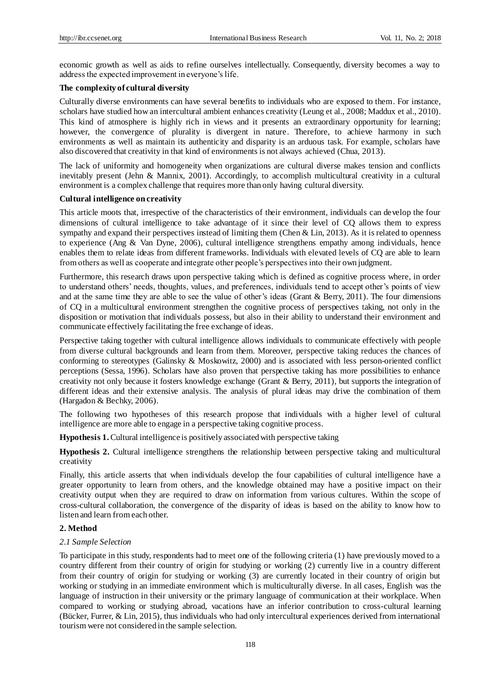economic growth as well as aids to refine ourselves intellectually. Consequently, diversity becomes a way to address the expected improvement in everyone's life.

# **The complexity of cultural diversity**

Culturally diverse environments can have several benefits to individuals who are exposed to them. For instance, scholars have studied how an intercultural ambient enhances creativity (Leung et al., 2008; Maddux et al., 2010). This kind of atmosphere is highly rich in views and it presents an extraordinary opportunity for learning; however, the convergence of plurality is divergent in nature. Therefore, to achieve harmony in such environments as well as maintain its authenticity and disparity is an arduous task. For example, scholars have also discovered that creativity in that kind of environments is not always achieved (Chua, 2013).

The lack of uniformity and homogeneity when organizations are cultural diverse makes tension and conflicts inevitably present (Jehn & Mannix, 2001). Accordingly, to accomplish multicultural creativity in a cultural environment is a complex challenge that requires more than only having cultural diversity.

#### **Cultural intelligence on creativity**

This article moots that, irrespective of the characteristics of their environment, individuals can develop the four dimensions of cultural intelligence to take advantage of it since their level of CQ allows them to express sympathy and expand their perspectives instead of limiting them (Chen & Lin, 2013). As it is related to openness to experience (Ang & Van Dyne, 2006), cultural intelligence strengthens empathy among individuals, hence enables them to relate ideas from different frameworks. Individuals with elevated levels of CQ are able to learn from others as well as cooperate and integrate other people's perspectives into their own judgment.

Furthermore, this research draws upon perspective taking which is defined as cognitive process where, in order to understand others' needs, thoughts, values, and preferences, individuals tend to accept other's points of view and at the same time they are able to see the value of other's ideas (Grant & Berry, 2011). The four dimensions of CQ in a multicultural environment strengthen the cognitive process of perspectives taking, not only in the disposition or motivation that individuals possess, but also in their ability to understand their environment and communicate effectively facilitating the free exchange of ideas.

Perspective taking together with cultural intelligence allows individuals to communicate effectively with people from diverse cultural backgrounds and learn from them. Moreover, perspective taking reduces the chances of conforming to stereotypes (Galinsky & Moskowitz, 2000) and is associated with less person-oriented conflict perceptions (Sessa, 1996). Scholars have also proven that perspective taking has more possibilities to enhance creativity not only because it fosters knowledge exchange (Grant & Berry, 2011), but supports the integration of different ideas and their extensive analysis. The analysis of plural ideas may drive the combination of them (Hargadon & Bechky, 2006).

The following two hypotheses of this research propose that individuals with a higher level of cultural intelligence are more able to engage in a perspective taking cognitive process.

**Hypothesis 1.**Cultural intelligence is positively associated with perspective taking

**Hypothesis 2.** Cultural intelligence strengthens the relationship between perspective taking and multicultural creativity

Finally, this article asserts that when individuals develop the four capabilities of cultural intelligence have a greater opportunity to learn from others, and the knowledge obtained may have a positive impact on their creativity output when they are required to draw on information from various cultures. Within the scope of cross-cultural collaboration, the convergence of the disparity of ideas is based on the ability to know how to listen and learn from each other.

# **2. Method**

#### *2.1 Sample Selection*

To participate in this study, respondents had to meet one of the following criteria (1) have previously moved to a country different from their country of origin for studying or working (2) currently live in a country different from their country of origin for studying or working (3) are currently located in their country of origin but working or studying in an immediate environment which is multiculturally diverse. In all cases, English was the language of instruction in their university or the primary language of communication at their workplace. When compared to working or studying abroad, vacations have an inferior contribution to cross-cultural learning (Bücker, Furrer, & Lin, 2015), thus individuals who had only intercultural experiences derived from international tourism were not considered in the sample selection.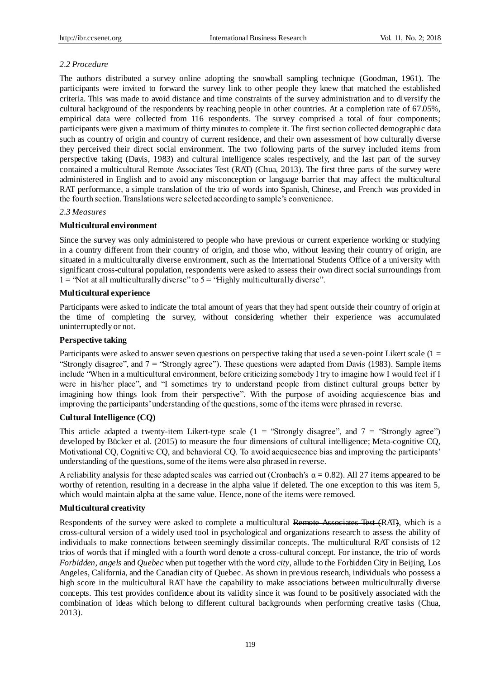# *2.2 Procedure*

The authors distributed a survey online adopting the snowball sampling technique (Goodman, 1961). The participants were invited to forward the survey link to other people they knew that matched the established criteria. This was made to avoid distance and time constraints of the survey administration and to diversify the cultural background of the respondents by reaching people in other countries. At a completion rate of 67.05%, empirical data were collected from 116 respondents. The survey comprised a total of four components; participants were given a maximum of thirty minutes to complete it. The first section collected demographic data such as country of origin and country of current residence, and their own assessment of how culturally diverse they perceived their direct social environment. The two following parts of the survey included items from perspective taking (Davis, 1983) and cultural intelligence scales respectively, and the last part of the survey contained a multicultural Remote Associates Test (RAT) (Chua, 2013). The first three parts of the survey were administered in English and to avoid any misconception or language barrier that may affect the multicultural RAT performance, a simple translation of the trio of words into Spanish, Chinese, and French was provided in the fourth section. Translations were selected according to sample's convenience.

### *2.3 Measures*

### **Multicultural environment**

Since the survey was only administered to people who have previous or current experience working or studying in a country different from their country of origin, and those who, without leaving their country of origin, are situated in a multiculturally diverse environment, such as the International Students Office of a university with significant cross-cultural population, respondents were asked to assess their own direct social surroundings from  $1 =$  "Not at all multiculturally diverse" to  $5 =$  "Highly multiculturally diverse".

### **Multicultural experience**

Participants were asked to indicate the total amount of years that they had spent outside their country of origin at the time of completing the survey, without considering whether their experience was accumulated uninterruptedly or not.

### **Perspective taking**

Participants were asked to answer seven questions on perspective taking that used a seven-point Likert scale (1 = "Strongly disagree", and 7 = "Strongly agree"). These questions were adapted from Davis (1983). Sample items include "When in a multicultural environment, before criticizing somebody I try to imagine how I would feel if I were in his/her place", and "I sometimes try to understand people from distinct cultural groups better by imagining how things look from their perspective". With the purpose of avoiding acquiescence bias and improving the participants' understanding of the questions, some of the items were phrased in reverse.

## **Cultural Intelligence (CQ)**

This article adapted a twenty-item Likert-type scale ( $1 =$  "Strongly disagree", and  $7 =$  "Strongly agree") developed by Bücker et al. (2015) to measure the four dimensions of cultural intelligence; Meta-cognitive CQ, Motivational CQ, Cognitive CQ, and behavioral CQ. To avoid acquiescence bias and improving the participants' understanding of the questions, some of the items were also phrased in reverse.

A reliability analysis for these adapted scales was carried out (Cronbach's  $\alpha = 0.82$ ). All 27 items appeared to be worthy of retention, resulting in a decrease in the alpha value if deleted. The one exception to this was item 5, which would maintain alpha at the same value. Hence, none of the items were removed.

# **Multicultural creativity**

Respondents of the survey were asked to complete a multicultural Remote Associates Test (RAT), which is a cross-cultural version of a widely used tool in psychological and organizations research to assess the ability of individuals to make connections between seemingly dissimilar concepts. The multicultural RAT consists of 12 trios of words that if mingled with a fourth word denote a cross-cultural concept. For instance, the trio of words *Forbidden*, *angels* and *Quebec* when put together with the word *city*, allude to the Forbidden City in Beijing, Los Angeles, California, and the Canadian city of Quebec. As shown in previous research, individuals who possess a high score in the multicultural RAT have the capability to make associations between multiculturally diverse concepts. This test provides confidence about its validity since it was found to be positively associated with the combination of ideas which belong to different cultural backgrounds when performing creative tasks (Chua, 2013).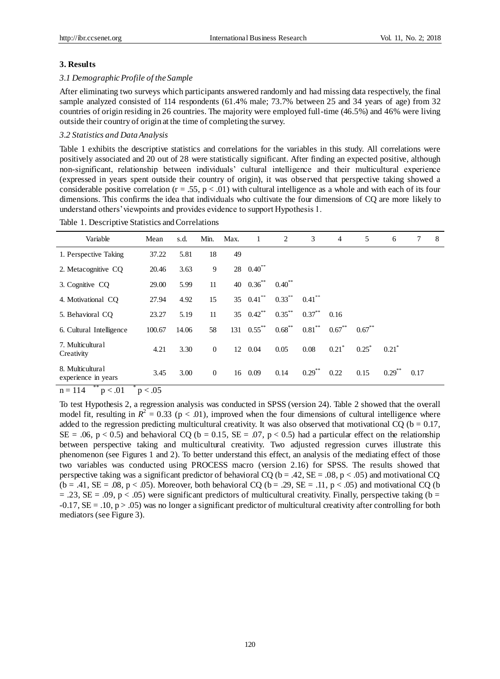#### **3. Results**

#### *3.1 Demographic Profile of the Sample*

After eliminating two surveys which participants answered randomly and had missing data respectively, the final sample analyzed consisted of 114 respondents (61.4% male; 73.7% between 25 and 34 years of age) from 32 countries of origin residing in 26 countries. The majority were employed full-time (46.5%) and 46% were living outside their country of origin at the time of completing the survey.

#### *3.2 Statistics and Data Analysis*

Table 1 exhibits the descriptive statistics and correlations for the variables in this study. All correlations were positively associated and 20 out of 28 were statistically significant. After finding an expected positive, although non-significant, relationship between individuals' cultural intelligence and their multicultural experience (expressed in years spent outside their country of origin), it was observed that perspective taking showed a considerable positive correlation ( $r = .55$ ,  $p < .01$ ) with cultural intelligence as a whole and with each of its four dimensions. This confirms the idea that individuals who cultivate the four dimensions of CQ are more likely to understand others' viewpoints and provides evidence to support Hypothesis 1.

| Variable                                      | Mean   | s.d.  | Min.           | Max. | 1                       | 2           | 3         | $\overline{4}$      | 5         | 6                    | 7    | 8 |
|-----------------------------------------------|--------|-------|----------------|------|-------------------------|-------------|-----------|---------------------|-----------|----------------------|------|---|
| 1. Perspective Taking                         | 37.22  | 5.81  | 18             | 49   |                         |             |           |                     |           |                      |      |   |
| 2. Metacognitive CQ                           | 20.46  | 3.63  | 9              |      | $28$ 0.40 <sup>**</sup> |             |           |                     |           |                      |      |   |
| 3. Cognitive CQ                               | 29.00  | 5.99  | 11             |      | 40 $0.36^{**}$          | $0.40^{**}$ |           |                     |           |                      |      |   |
| 4. Motivational CQ                            | 27.94  | 4.92  | 15             |      | 35 $0.41$ **            | $0.33***$   | $0.41$ ** |                     |           |                      |      |   |
| 5. Behavioral CO                              | 23.27  | 5.19  | 11             |      | 35 $0.42$ **            | $0.35***$   | $0.37***$ | 0.16                |           |                      |      |   |
| 6. Cultural Intelligence                      | 100.67 | 14.06 | 58             |      | $131 \quad 0.55$ **     | $0.68$ **   | $0.81$ ** | $0.67$ **           | $0.67$ ** |                      |      |   |
| 7. Multicultural<br>Creativity                | 4.21   | 3.30  | $\overline{0}$ |      | 12 0.04                 | 0.05        | 0.08      | $0.21$ <sup>*</sup> | $0.25^*$  | $0.21^*$             |      |   |
| 8. Multicultural<br>experience in years<br>安安 | 3.45   | 3.00  | $\overline{0}$ |      | 16 0.09                 | 0.14        | $0.29$ ** | 0.22                | 0.15      | $0.29$ <sup>**</sup> | 0.17 |   |

 $n = 114$  $p < .01$  $p < 0.05$ 

To test Hypothesis 2, a regression analysis was conducted in SPSS (version 24). Table 2 showed that the overall model fit, resulting in  $R^2 = 0.33$  ( $p < .01$ ), improved when the four dimensions of cultural intelligence where added to the regression predicting multicultural creativity. It was also observed that motivational CQ ( $b = 0.17$ ,  $SE = .06$ ,  $p < 0.5$ ) and behavioral CQ (b = 0.15,  $SE = .07$ ,  $p < 0.5$ ) had a particular effect on the relationship between perspective taking and multicultural creativity. Two adjusted regression curves illustrate this phenomenon (see Figures 1 and 2). To better understand this effect, an analysis of the mediating effect of those two variables was conducted using PROCESS macro (version 2.16) for SPSS. The results showed that perspective taking was a significant predictor of behavioral CQ ( $b = .42$ ,  $SE = .08$ ,  $p < .05$ ) and motivational CQ  $(b = .41, SE = .08, p < .05)$ . Moreover, both behavioral CQ  $(b = .29, SE = .11, p < .05)$  and motivational CQ (b)  $=$  .23, SE = .09, p < .05) were significant predictors of multicultural creativity. Finally, perspective taking (b =  $-0.17$ ,  $SE = .10$ ,  $p > .05$ ) was no longer a significant predictor of multicultural creativity after controlling for both mediators (see Figure 3).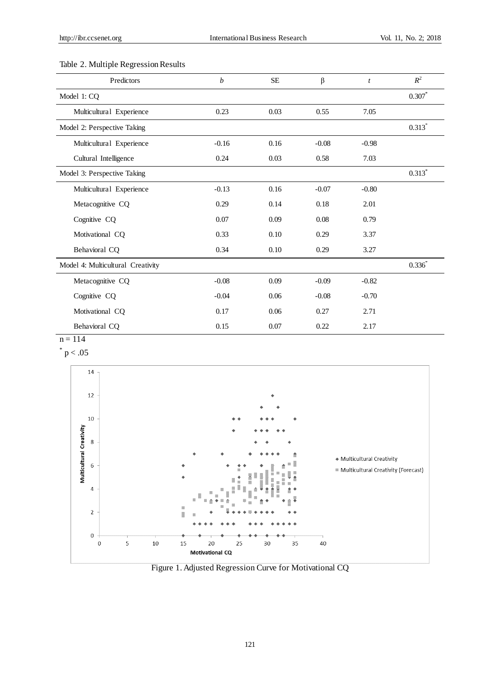# Table 2. Multiple Regression Results

| Predictors                        | $\boldsymbol{b}$ | $\rm SE$ | β       | $\boldsymbol{t}$ | $R^2$       |
|-----------------------------------|------------------|----------|---------|------------------|-------------|
| Model 1: CQ                       |                  |          |         |                  | $0.307*$    |
| Multicultural Experience          | 0.23             | 0.03     | 0.55    | 7.05             |             |
| Model 2: Perspective Taking       |                  |          |         |                  | $0.313*$    |
| Multicultural Experience          | $-0.16$          | 0.16     | $-0.08$ | $-0.98$          |             |
| Cultural Intelligence             | 0.24             | 0.03     | 0.58    | 7.03             |             |
| Model 3: Perspective Taking       |                  |          |         |                  | $0.313*$    |
| Multicultural Experience          | $-0.13$          | 0.16     | $-0.07$ | $-0.80$          |             |
| Metacognitive CQ                  | 0.29             | 0.14     | 0.18    | 2.01             |             |
| Cognitive CQ                      | 0.07             | 0.09     | 0.08    | 0.79             |             |
| Motivational CQ                   | 0.33             | 0.10     | 0.29    | 3.37             |             |
| Behavioral CQ                     | 0.34             | 0.10     | 0.29    | 3.27             |             |
| Model 4: Multicultural Creativity |                  |          |         |                  | $0.336^{*}$ |
| Metacognitive CQ                  | $-0.08$          | 0.09     | $-0.09$ | $-0.82$          |             |
| Cognitive CQ                      | $-0.04$          | 0.06     | $-0.08$ | $-0.70$          |             |
| Motivational CQ                   | 0.17             | 0.06     | 0.27    | 2.71             |             |
| Behavioral CQ                     | 0.15             | 0.07     | 0.22    | 2.17             |             |

 $n = 114$ 

 $*$  p  $< .05$ 



Figure 1. Adjusted Regression Curve for Motivational CQ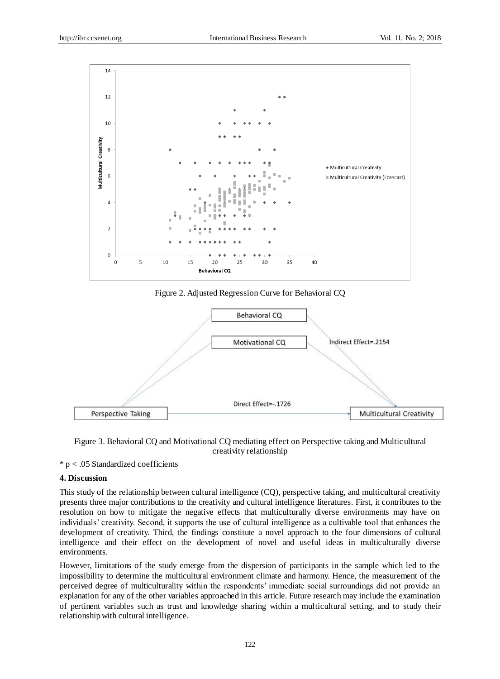

Figure 2. Adjusted Regression Curve for Behavioral CQ



Figure 3. Behavioral CQ and Motivational CQ mediating effect on Perspective taking and Multicultural creativity relationship

 $* p < .05$  Standardized coefficients

# **4. Discussion**

This study of the relationship between cultural intelligence (CQ), perspective taking, and multicultural creativity presents three major contributions to the creativity and cultural intelligence literatures. First, it contributes to the resolution on how to mitigate the negative effects that multiculturally diverse environments may have on individuals' creativity. Second, it supports the use of cultural intelligence as a cultivable tool that enhances the development of creativity. Third, the findings constitute a novel approach to the four dimensions of cultural intelligence and their effect on the development of novel and useful ideas in multiculturally diverse environments.

However, limitations of the study emerge from the dispersion of participants in the sample which led to the impossibility to determine the multicultural environment climate and harmony. Hence, the measurement of the perceived degree of multiculturality within the respondents' immediate social surroundings did not provide an explanation for any of the other variables approached in this article. Future research may include the examination of pertinent variables such as trust and knowledge sharing within a multicultural setting, and to study their relationship with cultural intelligence.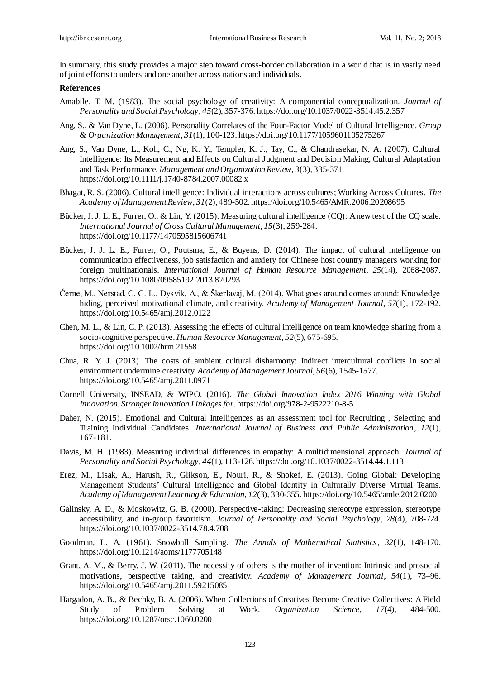In summary, this study provides a major step toward cross-border collaboration in a world that is in vastly need of joint efforts to understand one another across nations and individuals.

#### **References**

- Amabile, T. M. (1983). The social psychology of creativity: A componential conceptualization. *Journal of Personality and Social Psychology*, *45*(2), 357-376. https://doi.org/10.1037/0022-3514.45.2.357
- Ang, S., & Van Dyne, L. (2006). Personality Correlates of the Four-Factor Model of Cultural Intelligence. *Group & Organization Management*, *31*(1), 100-123. https://doi.org/10.1177/1059601105275267
- Ang, S., Van Dyne, L., Koh, C., Ng, K. Y., Templer, K. J., Tay, C., & Chandrasekar, N. A. (2007). Cultural Intelligence: Its Measurement and Effects on Cultural Judgment and Decision Making, Cultural Adaptation and Task Performance. *Management and Organization Review*, *3*(3), 335-371. https://doi.org/10.1111/j.1740-8784.2007.00082.x
- Bhagat, R. S. (2006). Cultural intelligence: Individual interactions across cultures; Working Across Cultures. *The Academy of Management Review*, *31*(2), 489-502. https://doi.org/10.5465/AMR.2006.20208695
- Bücker, J. J. L. E., Furrer, O., & Lin, Y. (2015). Measuring cultural intelligence (CQ): A new test of the CQ scale. *International Journal of Cross Cultural Management*, *15*(3), 259-284. https://doi.org/10.1177/1470595815606741
- Bücker, J. J. L. E., Furrer, O., Poutsma, E., & Buyens, D. (2014). The impact of cultural intelligence on communication effectiveness, job satisfaction and anxiety for Chinese host country managers working for foreign multinationals. *International Journal of Human Resource Management*, *25*(14), 2068-2087. https://doi.org/10.1080/09585192.2013.870293
- Černe, M., Nerstad, C. G. L., Dysvik, A., & Škerlavaj, M. (2014). What goes around comes around: Knowledge hiding, perceived motivational climate, and creativity. *Academy of Management Journal*, *57*(1), 172-192. https://doi.org/10.5465/amj.2012.0122
- Chen, M. L., & Lin, C. P. (2013). Assessing the effects of cultural intelligence on team knowledge sharing from a socio-cognitive perspective. *Human Resource Management*, *52*(5), 675-695. https://doi.org/10.1002/hrm.21558
- Chua, R. Y. J. (2013). The costs of ambient cultural disharmony: Indirect intercultural conflicts in social environment undermine creativity. *Academy of Management Journal*, *56*(6), 1545-1577. https://doi.org/10.5465/amj.2011.0971
- Cornell University, INSEAD, & WIPO. (2016). *The Global Innovation Index 2016 Winning with Global Innovation*. *Stronger Innovation Linkages for*. https://doi.org/978-2-9522210-8-5
- Daher, N. (2015). Emotional and Cultural Intelligences as an assessment tool for Recruiting , Selecting and Training Individual Candidates. *International Journal of Business and Public Administration*, *12*(1), 167-181.
- Davis, M. H. (1983). Measuring individual differences in empathy: A multidimensional approach. *Journal of Personality and Social Psychology*, *44*(1), 113-126. https://doi.org/10.1037/0022-3514.44.1.113
- Erez, M., Lisak, A., Harush, R., Glikson, E., Nouri, R., & Shokef, E. (2013). Going Global: Developing Management Students' Cultural Intelligence and Global Identity in Culturally Diverse Virtual Teams. *Academy of Management Learning & Education*, *12*(3), 330-355. https://doi.org/10.5465/amle.2012.0200
- Galinsky, A. D., & Moskowitz, G. B. (2000). Perspective-taking: Decreasing stereotype expression, stereotype accessibility, and in-group favoritism. *Journal of Personality and Social Psychology*, *78*(4), 708-724. https://doi.org/10.1037/0022-3514.78.4.708
- Goodman, L. A. (1961). Snowball Sampling. *The Annals of Mathematical Statistics*, *32*(1), 148-170. https://doi.org/10.1214/aoms/1177705148
- Grant, A. M., & Berry, J. W. (2011). The necessity of others is the mother of invention: Intrinsic and prosocial motivations, perspective taking, and creativity. *Academy of Management Journal*, *54*(1), 73–96. https://doi.org/10.5465/amj.2011.59215085
- Hargadon, A. B., & Bechky, B. A. (2006). When Collections of Creatives Become Creative Collectives: A Field Study of Problem Solving at Work. *Organization Science*, *17*(4), 484-500. https://doi.org/10.1287/orsc.1060.0200